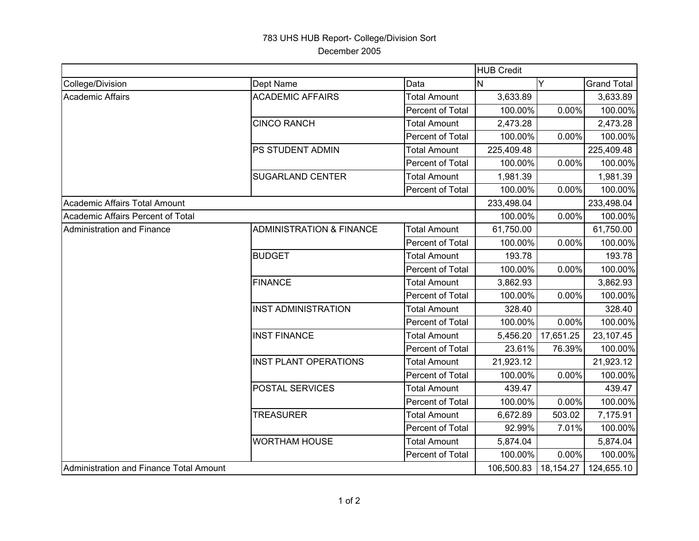## 783 UHS HUB Report- College/Division Sort December 2005

|                                         |                                     |                     | <b>HUB Credit</b> |           |                    |  |
|-----------------------------------------|-------------------------------------|---------------------|-------------------|-----------|--------------------|--|
| College/Division                        | Dept Name                           | Data                | <b>N</b>          | Y         | <b>Grand Total</b> |  |
| Academic Affairs                        | <b>ACADEMIC AFFAIRS</b>             | <b>Total Amount</b> | 3,633.89          |           | 3,633.89           |  |
|                                         |                                     | Percent of Total    | 100.00%           | 0.00%     | 100.00%            |  |
|                                         | <b>CINCO RANCH</b>                  | <b>Total Amount</b> | 2,473.28          |           | 2,473.28           |  |
|                                         |                                     | Percent of Total    | 100.00%           | $0.00\%$  | 100.00%            |  |
|                                         | PS STUDENT ADMIN                    | <b>Total Amount</b> | 225,409.48        |           | 225,409.48         |  |
|                                         |                                     | Percent of Total    | 100.00%           | 0.00%     | 100.00%            |  |
|                                         | <b>SUGARLAND CENTER</b>             | <b>Total Amount</b> | 1,981.39          |           | 1,981.39           |  |
|                                         |                                     | Percent of Total    | 100.00%           | 0.00%     | 100.00%            |  |
| Academic Affairs Total Amount           |                                     |                     | 233,498.04        |           | 233,498.04         |  |
| Academic Affairs Percent of Total       |                                     |                     | 100.00%           | 0.00%     | 100.00%            |  |
| <b>Administration and Finance</b>       | <b>ADMINISTRATION &amp; FINANCE</b> | <b>Total Amount</b> | 61,750.00         |           | 61,750.00          |  |
|                                         |                                     | Percent of Total    | 100.00%           | 0.00%     | 100.00%            |  |
|                                         | <b>BUDGET</b>                       | <b>Total Amount</b> | 193.78            |           | 193.78             |  |
|                                         |                                     | Percent of Total    | 100.00%           | 0.00%     | 100.00%            |  |
|                                         | <b>FINANCE</b>                      | <b>Total Amount</b> | 3,862.93          |           | 3,862.93           |  |
|                                         |                                     | Percent of Total    | 100.00%           | 0.00%     | 100.00%            |  |
|                                         | <b>INST ADMINISTRATION</b>          | <b>Total Amount</b> | 328.40            |           | 328.40             |  |
|                                         |                                     | Percent of Total    | 100.00%           | 0.00%     | 100.00%            |  |
|                                         | <b>INST FINANCE</b>                 | <b>Total Amount</b> | 5,456.20          | 17,651.25 | 23,107.45          |  |
|                                         |                                     | Percent of Total    | 23.61%            | 76.39%    | 100.00%            |  |
|                                         | <b>INST PLANT OPERATIONS</b>        | <b>Total Amount</b> | 21,923.12         |           | 21,923.12          |  |
|                                         |                                     | Percent of Total    | 100.00%           | 0.00%     | 100.00%            |  |
|                                         | <b>POSTAL SERVICES</b>              | <b>Total Amount</b> | 439.47            |           | 439.47             |  |
|                                         |                                     | Percent of Total    | 100.00%           | 0.00%     | 100.00%            |  |
|                                         | <b>TREASURER</b>                    | <b>Total Amount</b> | 6,672.89          | 503.02    | 7,175.91           |  |
|                                         |                                     | Percent of Total    | 92.99%            | 7.01%     | 100.00%            |  |
|                                         | <b>WORTHAM HOUSE</b>                | <b>Total Amount</b> | 5,874.04          |           | 5,874.04           |  |
|                                         |                                     | Percent of Total    | 100.00%           | 0.00%     | 100.00%            |  |
| Administration and Finance Total Amount |                                     |                     | 106,500.83        | 18,154.27 | 124,655.10         |  |